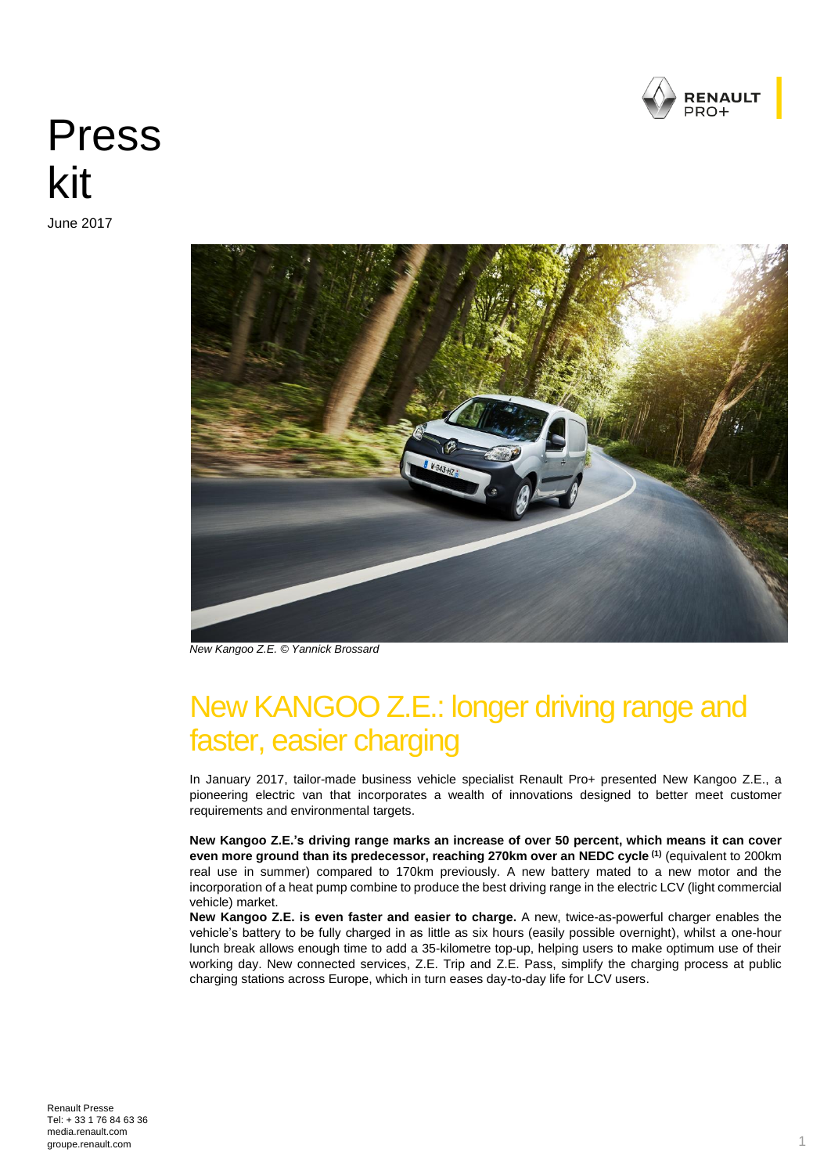

# Press kit

June 2017



*New Kangoo Z.E. © Yannick Brossard*

# New KANGOO Z.E.: longer driving range and faster, easier charging

In January 2017, tailor-made business vehicle specialist Renault Pro+ presented New Kangoo Z.E., a pioneering electric van that incorporates a wealth of innovations designed to better meet customer requirements and environmental targets.

**New Kangoo Z.E.'s driving range marks an increase of over 50 percent, which means it can cover even more ground than its predecessor, reaching 270km over an NEDC cycle (1)** (equivalent to 200km real use in summer) compared to 170km previously. A new battery mated to a new motor and the incorporation of a heat pump combine to produce the best driving range in the electric LCV (light commercial vehicle) market.

**New Kangoo Z.E. is even faster and easier to charge.** A new, twice-as-powerful charger enables the vehicle's battery to be fully charged in as little as six hours (easily possible overnight), whilst a one-hour lunch break allows enough time to add a 35-kilometre top-up, helping users to make optimum use of their working day. New connected services, Z.E. Trip and Z.E. Pass, simplify the charging process at public charging stations across Europe, which in turn eases day-to-day life for LCV users.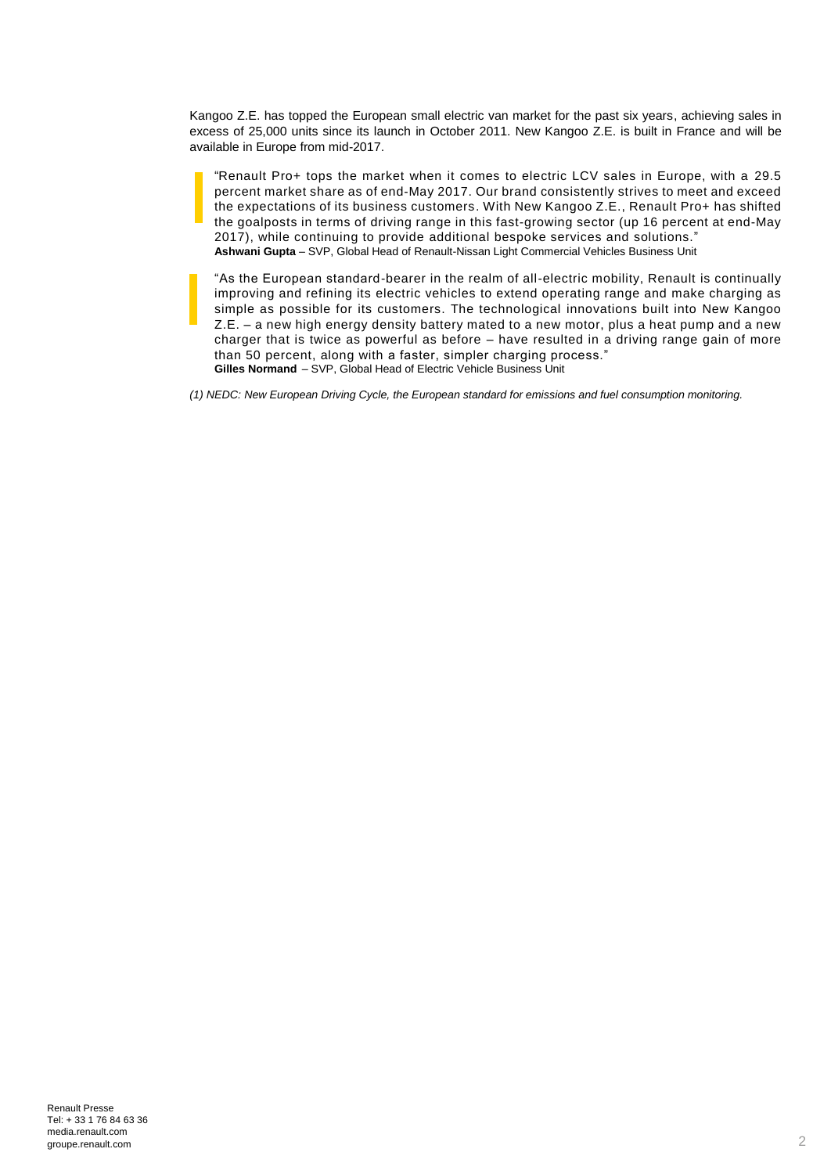Kangoo Z.E. has topped the European small electric van market for the past six years, achieving sales in excess of 25,000 units since its launch in October 2011. New Kangoo Z.E. is built in France and will be available in Europe from mid-2017.

"Renault Pro+ tops the market when it comes to electric LCV sales in Europe, with a 29.5 percent market share as of end-May 2017. Our brand consistently strives to meet and exceed the expectations of its business customers. With New Kangoo Z.E., Renault Pro+ has shifted the goalposts in terms of driving range in this fast-growing sector (up 16 percent at end-May 2017), while continuing to provide additional bespoke services and solutions." **Ashwani Gupta** – SVP, Global Head of Renault-Nissan Light Commercial Vehicles Business Unit

"As the European standard-bearer in the realm of all-electric mobility, Renault is continually improving and refining its electric vehicles to extend operating range and make charging as simple as possible for its customers. The technological innovations built into New Kangoo Z.E. – a new high energy density battery mated to a new motor, plus a heat pump and a new charger that is twice as powerful as before – have resulted in a driving range gain of more than 50 percent, along with a faster, simpler charging process." **Gilles Normand** – SVP, Global Head of Electric Vehicle Business Unit

*(1) NEDC: New European Driving Cycle, the European standard for emissions and fuel consumption monitoring.*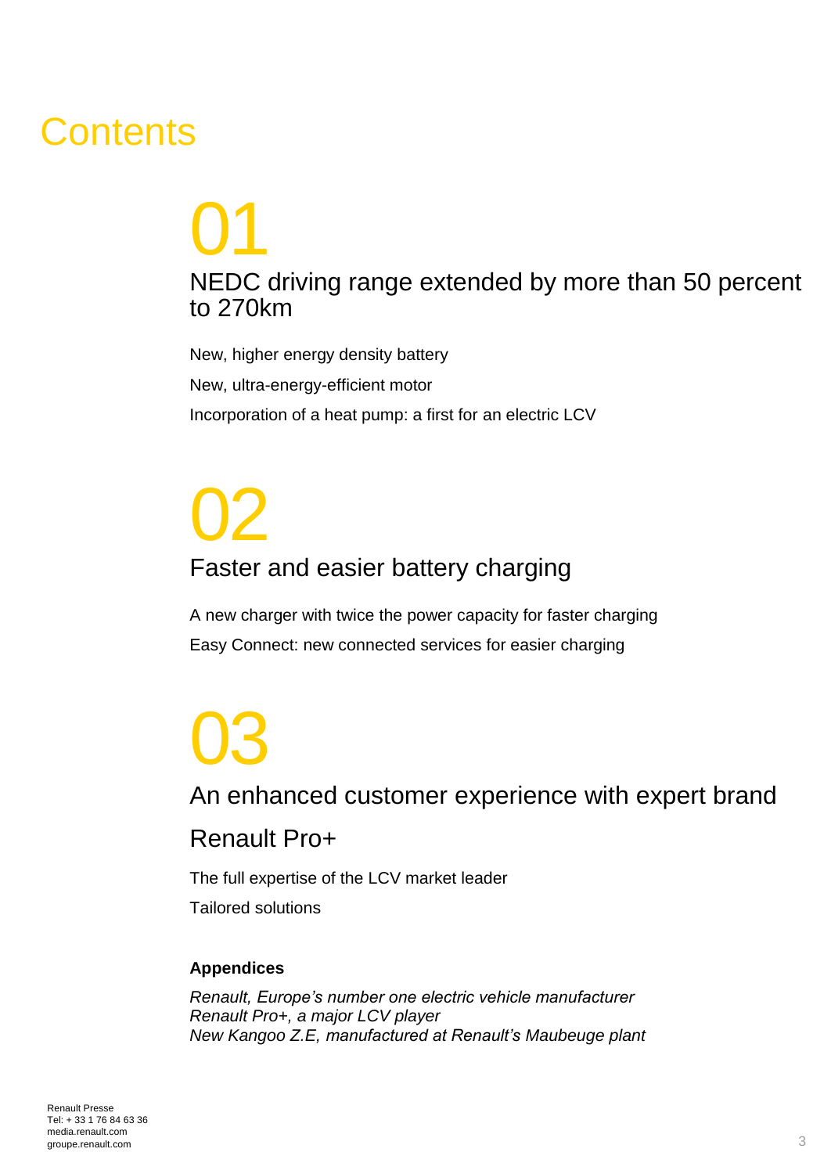# **Contents**

# 01 NEDC driving range extended by more than 50 percent to 270km

New, higher energy density battery New, ultra-energy-efficient motor Incorporation of a heat pump: a first for an electric LCV

# 02 Faster and easier battery charging

A new charger with twice the power capacity for faster charging Easy Connect: new connected services for easier charging

# 03 An enhanced customer experience with expert brand

# Renault Pro+

The full expertise of the LCV market leader

Tailored solutions

### **Appendices**

*Renault, Europe's number one electric vehicle manufacturer Renault Pro+, a major LCV player New Kangoo Z.E, manufactured at Renault's Maubeuge plant*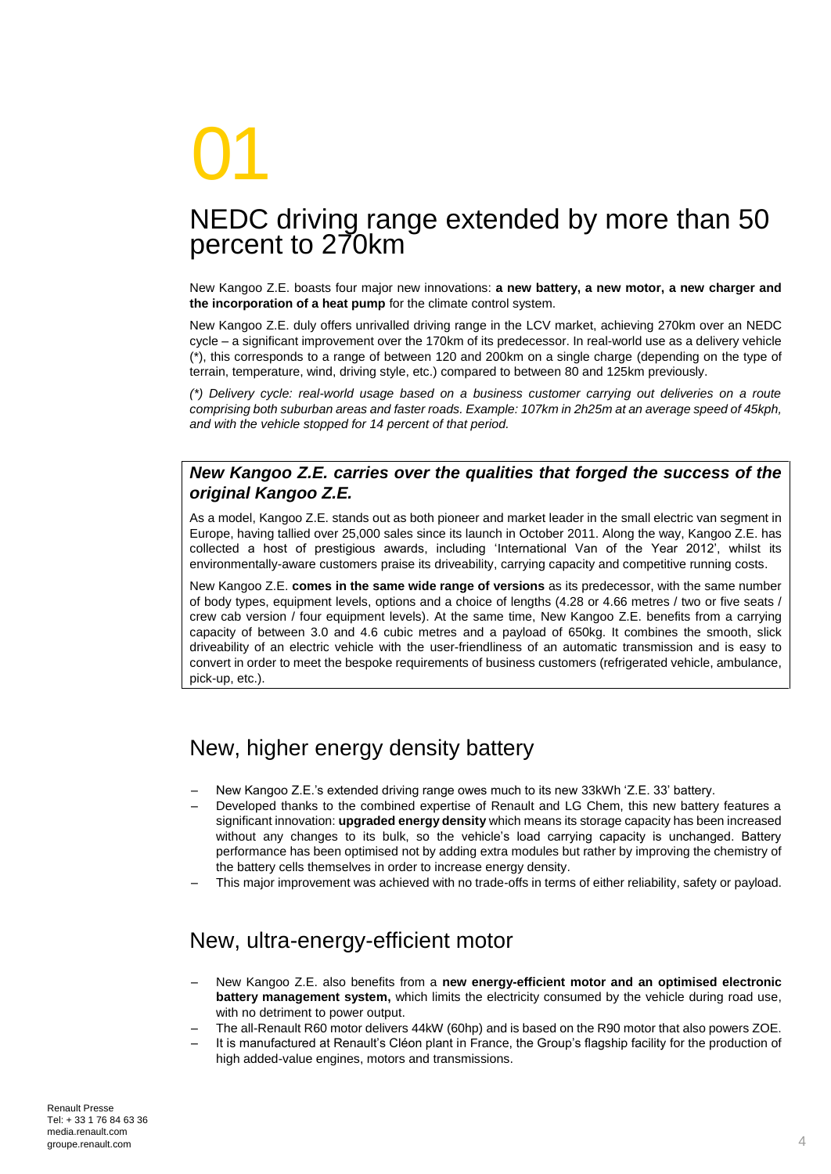# 01

# NEDC driving range extended by more than 50 percent to 270km

New Kangoo Z.E. boasts four major new innovations: **a new battery, a new motor, a new charger and the incorporation of a heat pump** for the climate control system.

New Kangoo Z.E. duly offers unrivalled driving range in the LCV market, achieving 270km over an NEDC cycle – a significant improvement over the 170km of its predecessor. In real-world use as a delivery vehicle (\*), this corresponds to a range of between 120 and 200km on a single charge (depending on the type of terrain, temperature, wind, driving style, etc.) compared to between 80 and 125km previously.

*(\*) Delivery cycle: real-world usage based on a business customer carrying out deliveries on a route comprising both suburban areas and faster roads. Example: 107km in 2h25m at an average speed of 45kph, and with the vehicle stopped for 14 percent of that period.* 

### *New Kangoo Z.E. carries over the qualities that forged the success of the original Kangoo Z.E.*

As a model, Kangoo Z.E. stands out as both pioneer and market leader in the small electric van segment in Europe, having tallied over 25,000 sales since its launch in October 2011. Along the way, Kangoo Z.E. has collected a host of prestigious awards, including 'International Van of the Year 2012', whilst its environmentally-aware customers praise its driveability, carrying capacity and competitive running costs.

New Kangoo Z.E. **comes in the same wide range of versions** as its predecessor, with the same number of body types, equipment levels, options and a choice of lengths (4.28 or 4.66 metres / two or five seats / crew cab version / four equipment levels). At the same time, New Kangoo Z.E. benefits from a carrying capacity of between 3.0 and 4.6 cubic metres and a payload of 650kg. It combines the smooth, slick driveability of an electric vehicle with the user-friendliness of an automatic transmission and is easy to convert in order to meet the bespoke requirements of business customers (refrigerated vehicle, ambulance, pick-up, etc.).

### New, higher energy density battery

- New Kangoo Z.E.'s extended driving range owes much to its new 33kWh 'Z.E. 33' battery.
- Developed thanks to the combined expertise of Renault and LG Chem, this new battery features a significant innovation: **upgraded energy density** which means its storage capacity has been increased without any changes to its bulk, so the vehicle's load carrying capacity is unchanged. Battery performance has been optimised not by adding extra modules but rather by improving the chemistry of the battery cells themselves in order to increase energy density.
- This major improvement was achieved with no trade-offs in terms of either reliability, safety or payload.

### New, ultra-energy-efficient motor

- New Kangoo Z.E. also benefits from a **new energy-efficient motor and an optimised electronic battery management system,** which limits the electricity consumed by the vehicle during road use, with no detriment to power output.
- The all-Renault R60 motor delivers 44kW (60hp) and is based on the R90 motor that also powers ZOE.
- It is manufactured at Renault's Cléon plant in France, the Group's flagship facility for the production of high added-value engines, motors and transmissions.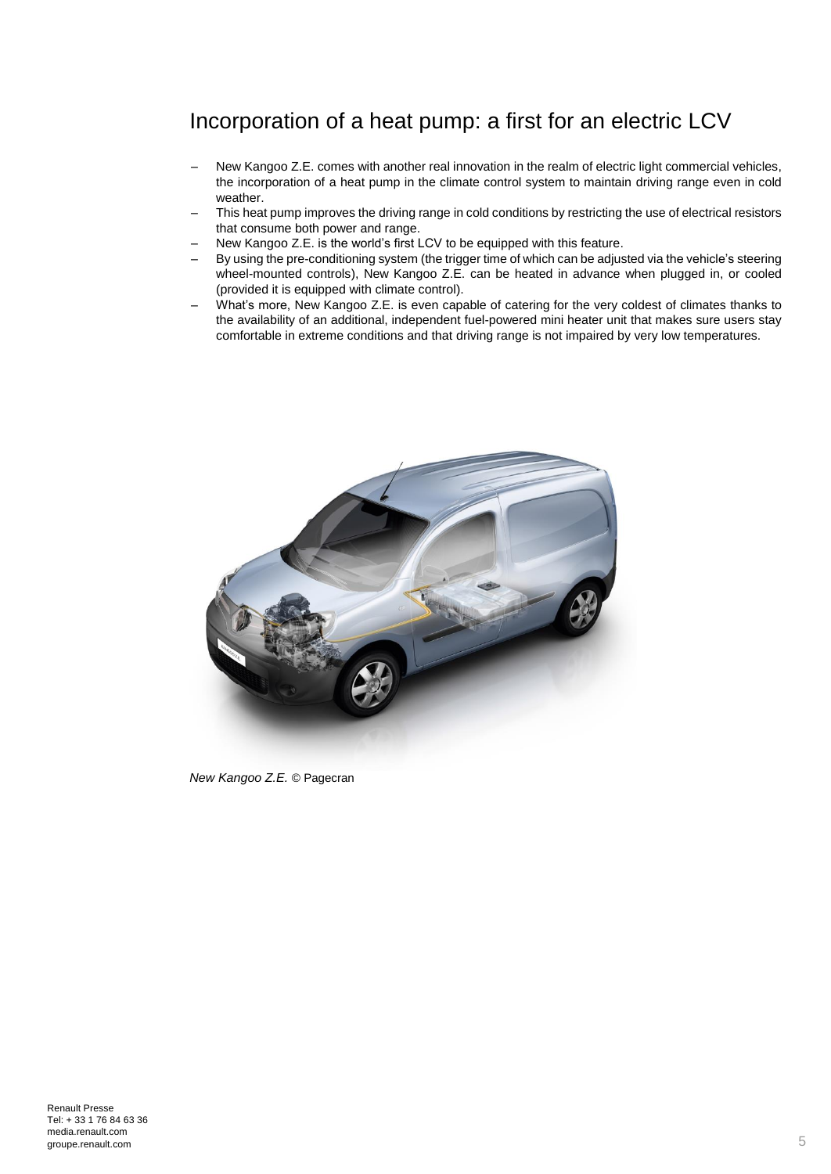### Incorporation of a heat pump: a first for an electric LCV

- New Kangoo Z.E. comes with another real innovation in the realm of electric light commercial vehicles, the incorporation of a heat pump in the climate control system to maintain driving range even in cold weather.
- This heat pump improves the driving range in cold conditions by restricting the use of electrical resistors that consume both power and range.
- New Kangoo Z.E. is the world's first LCV to be equipped with this feature.
- By using the pre-conditioning system (the trigger time of which can be adjusted via the vehicle's steering wheel-mounted controls), New Kangoo Z.E. can be heated in advance when plugged in, or cooled (provided it is equipped with climate control).
- What's more, New Kangoo Z.E. is even capable of catering for the very coldest of climates thanks to the availability of an additional, independent fuel-powered mini heater unit that makes sure users stay comfortable in extreme conditions and that driving range is not impaired by very low temperatures.



*New Kangoo Z.E.* © Pagecran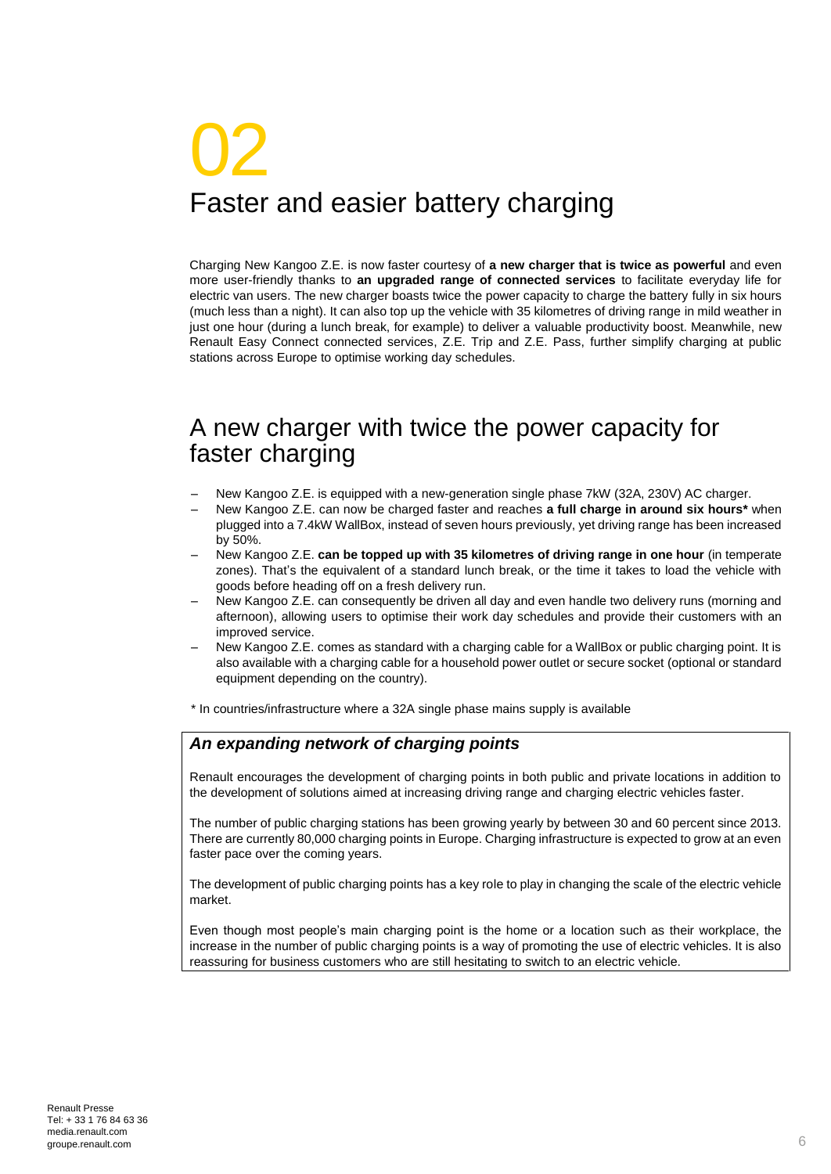# 02 Faster and easier battery charging

Charging New Kangoo Z.E. is now faster courtesy of **a new charger that is twice as powerful** and even more user-friendly thanks to **an upgraded range of connected services** to facilitate everyday life for electric van users. The new charger boasts twice the power capacity to charge the battery fully in six hours (much less than a night). It can also top up the vehicle with 35 kilometres of driving range in mild weather in just one hour (during a lunch break, for example) to deliver a valuable productivity boost. Meanwhile, new Renault Easy Connect connected services, Z.E. Trip and Z.E. Pass, further simplify charging at public stations across Europe to optimise working day schedules.

# A new charger with twice the power capacity for faster charging

- New Kangoo Z.E. is equipped with a new-generation single phase 7kW (32A, 230V) AC charger.
- New Kangoo Z.E. can now be charged faster and reaches **a full charge in around six hours\*** when plugged into a 7.4kW WallBox, instead of seven hours previously, yet driving range has been increased by 50%.
- New Kangoo Z.E. **can be topped up with 35 kilometres of driving range in one hour** (in temperate zones). That's the equivalent of a standard lunch break, or the time it takes to load the vehicle with goods before heading off on a fresh delivery run.
- New Kangoo Z.E. can consequently be driven all day and even handle two delivery runs (morning and afternoon), allowing users to optimise their work day schedules and provide their customers with an improved service.
- New Kangoo Z.E. comes as standard with a charging cable for a WallBox or public charging point. It is also available with a charging cable for a household power outlet or secure socket (optional or standard equipment depending on the country).
- \* In countries/infrastructure where a 32A single phase mains supply is available

### *An expanding network of charging points*

Renault encourages the development of charging points in both public and private locations in addition to the development of solutions aimed at increasing driving range and charging electric vehicles faster.

The number of public charging stations has been growing yearly by between 30 and 60 percent since 2013. There are currently 80,000 charging points in Europe. Charging infrastructure is expected to grow at an even faster pace over the coming years.

The development of public charging points has a key role to play in changing the scale of the electric vehicle market.

Even though most people's main charging point is the home or a location such as their workplace, the increase in the number of public charging points is a way of promoting the use of electric vehicles. It is also reassuring for business customers who are still hesitating to switch to an electric vehicle.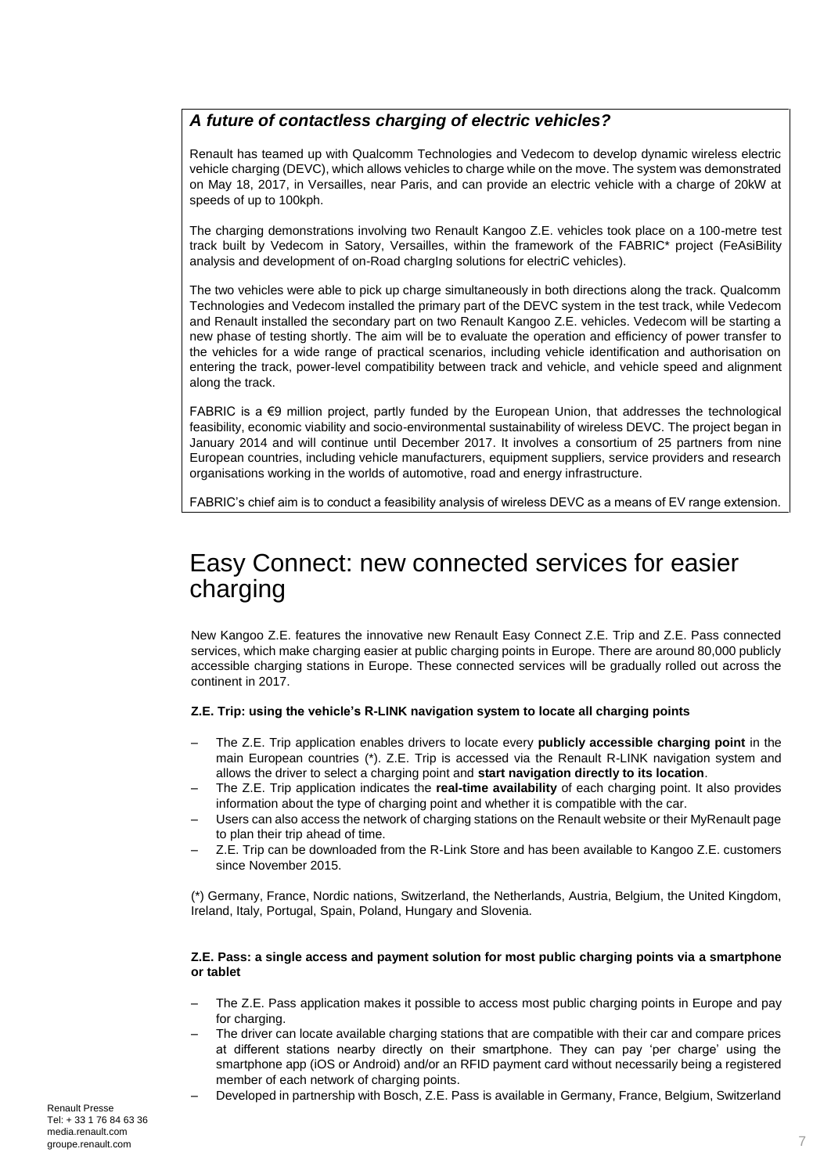### *A future of contactless charging of electric vehicles?*

Renault has teamed up with Qualcomm Technologies and Vedecom to develop dynamic wireless electric vehicle charging (DEVC), which allows vehicles to charge while on the move. The system was demonstrated on May 18, 2017, in Versailles, near Paris, and can provide an electric vehicle with a charge of 20kW at speeds of up to 100kph.

The charging demonstrations involving two Renault Kangoo Z.E. vehicles took place on a 100-metre test track built by Vedecom in Satory, Versailles, within the framework of the FABRIC\* project (FeAsiBility analysis and development of on-Road chargIng solutions for electriC vehicles).

The two vehicles were able to pick up charge simultaneously in both directions along the track. Qualcomm Technologies and Vedecom installed the primary part of the DEVC system in the test track, while Vedecom and Renault installed the secondary part on two Renault Kangoo Z.E. vehicles. Vedecom will be starting a new phase of testing shortly. The aim will be to evaluate the operation and efficiency of power transfer to the vehicles for a wide range of practical scenarios, including vehicle identification and authorisation on entering the track, power-level compatibility between track and vehicle, and vehicle speed and alignment along the track.

FABRIC is a  $\epsilon$ 9 million project, partly funded by the European Union, that addresses the technological feasibility, economic viability and socio-environmental sustainability of wireless DEVC. The project began in January 2014 and will continue until December 2017. It involves a consortium of 25 partners from nine European countries, including vehicle manufacturers, equipment suppliers, service providers and research organisations working in the worlds of automotive, road and energy infrastructure.

FABRIC's chief aim is to conduct a feasibility analysis of wireless DEVC as a means of EV range extension.

# Easy Connect: new connected services for easier charging

New Kangoo Z.E. features the innovative new Renault Easy Connect Z.E. Trip and Z.E. Pass connected services, which make charging easier at public charging points in Europe. There are around 80,000 publicly accessible charging stations in Europe. These connected services will be gradually rolled out across the continent in 2017.

### **Z.E. Trip: using the vehicle's R-LINK navigation system to locate all charging points**

- The Z.E. Trip application enables drivers to locate every **publicly accessible charging point** in the main European countries (\*). Z.E. Trip is accessed via the Renault R-LINK navigation system and allows the driver to select a charging point and **start navigation directly to its location**.
- The Z.E. Trip application indicates the **real-time availability** of each charging point. It also provides information about the type of charging point and whether it is compatible with the car.
- Users can also access the network of charging stations on the Renault website or their MyRenault page to plan their trip ahead of time.
- Z.E. Trip can be downloaded from the R-Link Store and has been available to Kangoo Z.E. customers since November 2015.

(\*) Germany, France, Nordic nations, Switzerland, the Netherlands, Austria, Belgium, the United Kingdom, Ireland, Italy, Portugal, Spain, Poland, Hungary and Slovenia.

### **Z.E. Pass: a single access and payment solution for most public charging points via a smartphone or tablet**

- The Z.E. Pass application makes it possible to access most public charging points in Europe and pay for charging.
- The driver can locate available charging stations that are compatible with their car and compare prices at different stations nearby directly on their smartphone. They can pay 'per charge' using the smartphone app (iOS or Android) and/or an RFID payment card without necessarily being a registered member of each network of charging points.
	- Developed in partnership with Bosch, Z.E. Pass is available in Germany, France, Belgium, Switzerland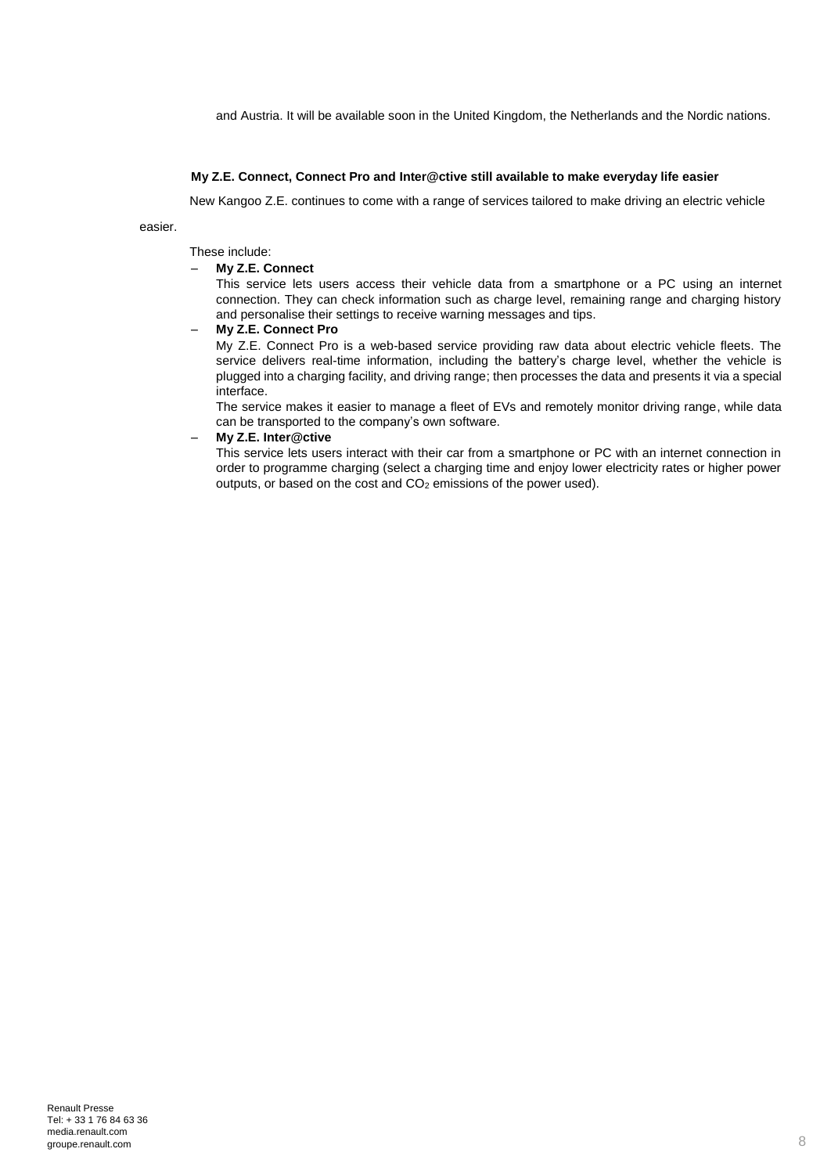and Austria. It will be available soon in the United Kingdom, the Netherlands and the Nordic nations.

#### **My Z.E. Connect, Connect Pro and Inter@ctive still available to make everyday life easier**

New Kangoo Z.E. continues to come with a range of services tailored to make driving an electric vehicle

easier.

These include:

### – **My Z.E. Connect**

This service lets users access their vehicle data from a smartphone or a PC using an internet connection. They can check information such as charge level, remaining range and charging history and personalise their settings to receive warning messages and tips.

### – **My Z.E. Connect Pro**

My Z.E. Connect Pro is a web-based service providing raw data about electric vehicle fleets. The service delivers real-time information, including the battery's charge level, whether the vehicle is plugged into a charging facility, and driving range; then processes the data and presents it via a special interface.

The service makes it easier to manage a fleet of EVs and remotely monitor driving range, while data can be transported to the company's own software.

### – **My Z.E. Inter@ctive**

This service lets users interact with their car from a smartphone or PC with an internet connection in order to programme charging (select a charging time and enjoy lower electricity rates or higher power outputs, or based on the cost and  $CO<sub>2</sub>$  emissions of the power used).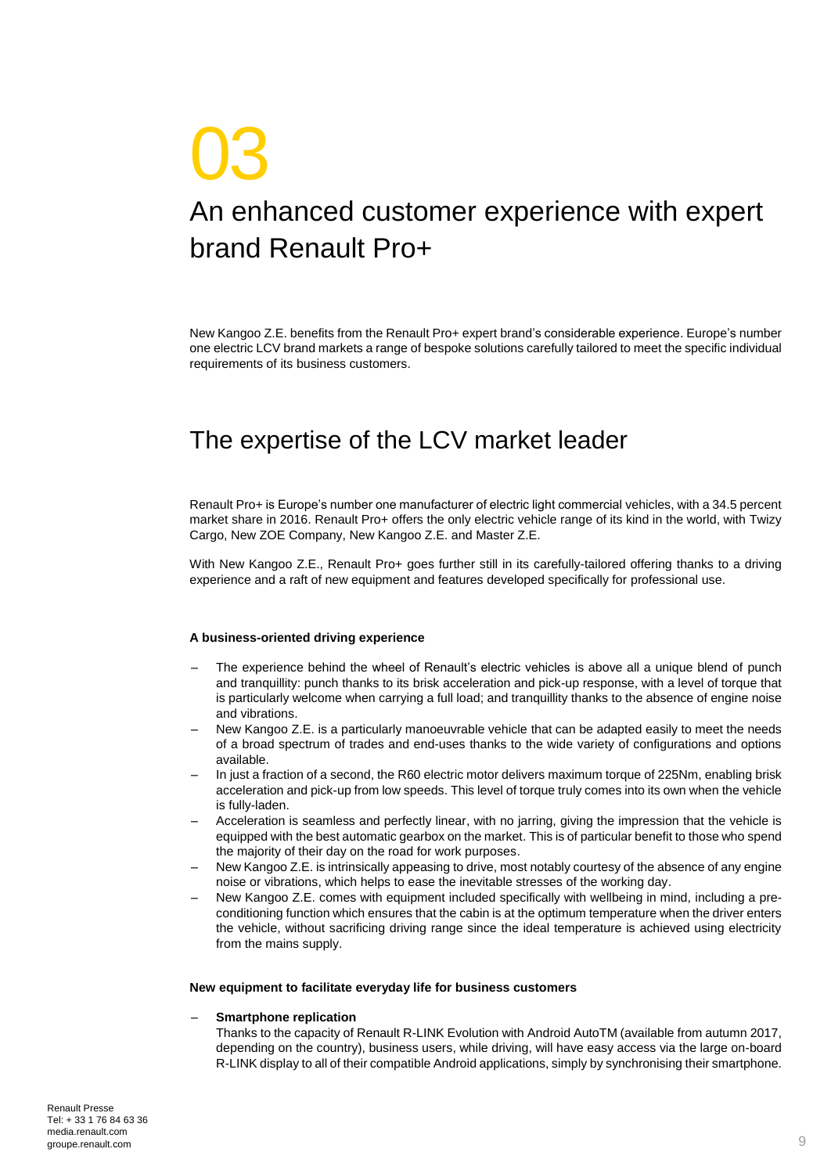# 03 An enhanced customer experience with expert brand Renault Pro+

New Kangoo Z.E. benefits from the Renault Pro+ expert brand's considerable experience. Europe's number one electric LCV brand markets a range of bespoke solutions carefully tailored to meet the specific individual requirements of its business customers.

# The expertise of the LCV market leader

Renault Pro+ is Europe's number one manufacturer of electric light commercial vehicles, with a 34.5 percent market share in 2016. Renault Pro+ offers the only electric vehicle range of its kind in the world, with Twizy Cargo, New ZOE Company, New Kangoo Z.E. and Master Z.E.

With New Kangoo Z.E., Renault Pro+ goes further still in its carefully-tailored offering thanks to a driving experience and a raft of new equipment and features developed specifically for professional use.

#### **A business-oriented driving experience**

- The experience behind the wheel of Renault's electric vehicles is above all a unique blend of punch and tranquillity: punch thanks to its brisk acceleration and pick-up response, with a level of torque that is particularly welcome when carrying a full load; and tranquillity thanks to the absence of engine noise and vibrations.
- New Kangoo Z.E. is a particularly manoeuvrable vehicle that can be adapted easily to meet the needs of a broad spectrum of trades and end-uses thanks to the wide variety of configurations and options available.
- In just a fraction of a second, the R60 electric motor delivers maximum torque of 225Nm, enabling brisk acceleration and pick-up from low speeds. This level of torque truly comes into its own when the vehicle is fully-laden.
- Acceleration is seamless and perfectly linear, with no jarring, giving the impression that the vehicle is equipped with the best automatic gearbox on the market. This is of particular benefit to those who spend the majority of their day on the road for work purposes.
- New Kangoo Z.E. is intrinsically appeasing to drive, most notably courtesy of the absence of any engine noise or vibrations, which helps to ease the inevitable stresses of the working day.
- New Kangoo Z.E. comes with equipment included specifically with wellbeing in mind, including a preconditioning function which ensures that the cabin is at the optimum temperature when the driver enters the vehicle, without sacrificing driving range since the ideal temperature is achieved using electricity from the mains supply.

#### **New equipment to facilitate everyday life for business customers**

#### – **Smartphone replication**

Thanks to the capacity of Renault R-LINK Evolution with Android AutoTM (available from autumn 2017, depending on the country), business users, while driving, will have easy access via the large on-board R-LINK display to all of their compatible Android applications, simply by synchronising their smartphone.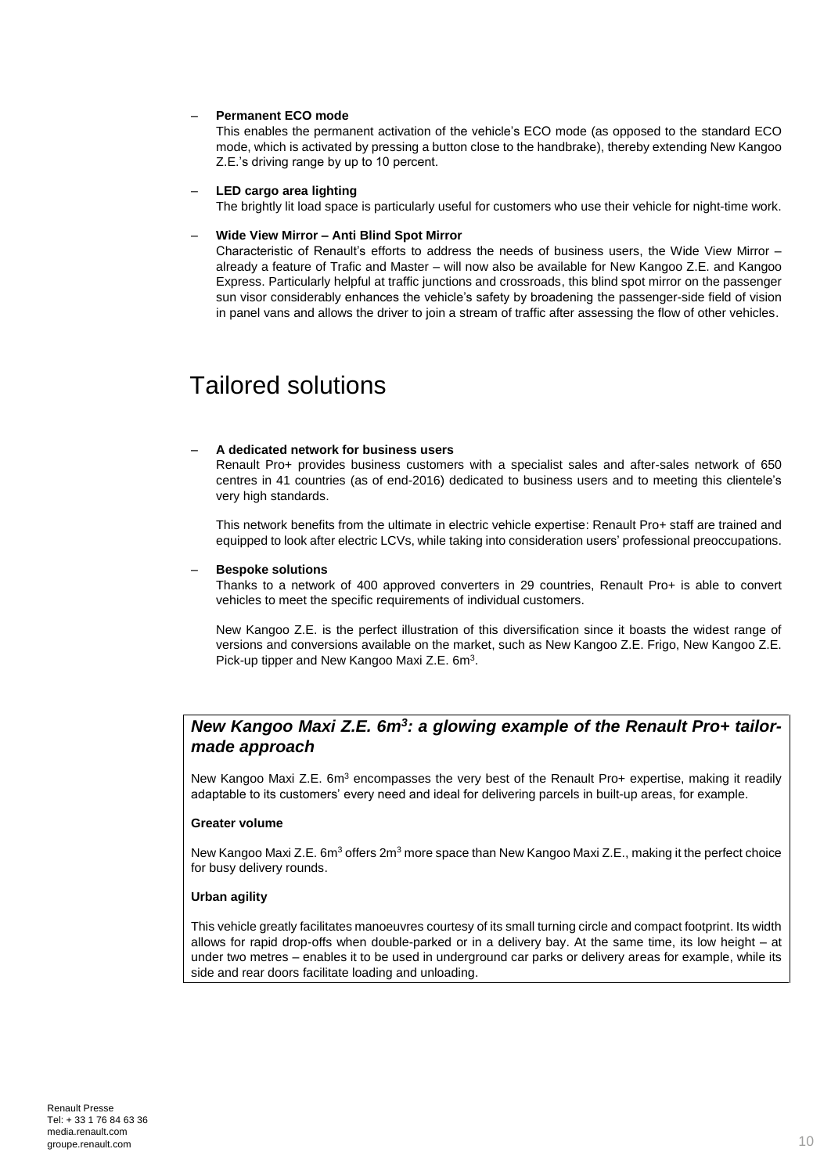### – **Permanent ECO mode**

This enables the permanent activation of the vehicle's ECO mode (as opposed to the standard ECO mode, which is activated by pressing a button close to the handbrake), thereby extending New Kangoo Z.E.'s driving range by up to 10 percent.

#### – **LED cargo area lighting**

The brightly lit load space is particularly useful for customers who use their vehicle for night-time work.

### – **Wide View Mirror – Anti Blind Spot Mirror**

Characteristic of Renault's efforts to address the needs of business users, the Wide View Mirror already a feature of Trafic and Master – will now also be available for New Kangoo Z.E. and Kangoo Express. Particularly helpful at traffic junctions and crossroads, this blind spot mirror on the passenger sun visor considerably enhances the vehicle's safety by broadening the passenger-side field of vision in panel vans and allows the driver to join a stream of traffic after assessing the flow of other vehicles.

## Tailored solutions

### – **A dedicated network for business users**

Renault Pro+ provides business customers with a specialist sales and after-sales network of 650 centres in 41 countries (as of end-2016) dedicated to business users and to meeting this clientele's very high standards.

This network benefits from the ultimate in electric vehicle expertise: Renault Pro+ staff are trained and equipped to look after electric LCVs, while taking into consideration users' professional preoccupations.

#### – **Bespoke solutions**

Thanks to a network of 400 approved converters in 29 countries, Renault Pro+ is able to convert vehicles to meet the specific requirements of individual customers.

New Kangoo Z.E. is the perfect illustration of this diversification since it boasts the widest range of versions and conversions available on the market, such as New Kangoo Z.E. Frigo, New Kangoo Z.E. Pick-up tipper and New Kangoo Maxi Z.E. 6m<sup>3</sup>.

### *New Kangoo Maxi Z.E. 6m<sup>3</sup> : a glowing example of the Renault Pro+ tailormade approach*

New Kangoo Maxi Z.E. 6m<sup>3</sup> encompasses the very best of the Renault Pro+ expertise, making it readily adaptable to its customers' every need and ideal for delivering parcels in built-up areas, for example.

### **Greater volume**

New Kangoo Maxi Z.E. 6m<sup>3</sup> offers 2m<sup>3</sup> more space than New Kangoo Maxi Z.E., making it the perfect choice for busy delivery rounds.

### **Urban agility**

This vehicle greatly facilitates manoeuvres courtesy of its small turning circle and compact footprint. Its width allows for rapid drop-offs when double-parked or in a delivery bay. At the same time, its low height – at under two metres – enables it to be used in underground car parks or delivery areas for example, while its side and rear doors facilitate loading and unloading.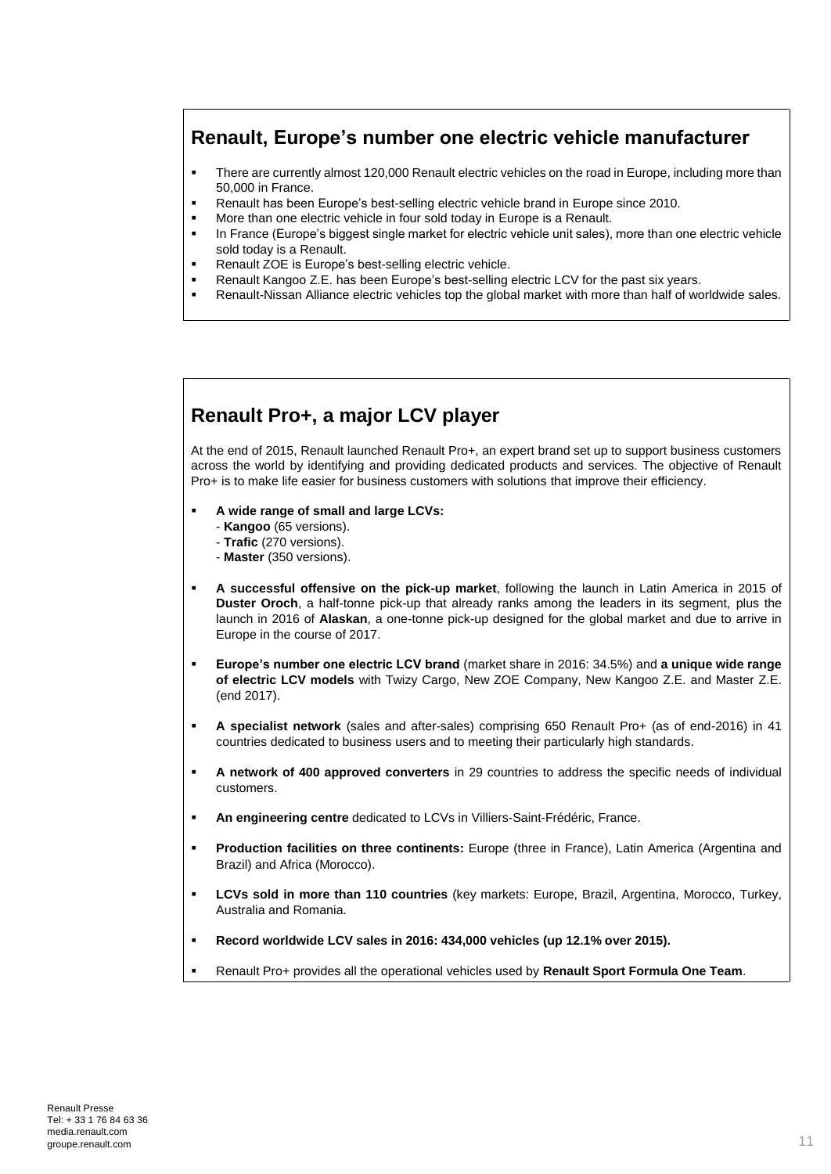### **Renault, Europe's number one electric vehicle manufacturer**

- There are currently almost 120,000 Renault electric vehicles on the road in Europe, including more than 50,000 in France.
- Renault has been Europe's best-selling electric vehicle brand in Europe since 2010.
- More than one electric vehicle in four sold today in Europe is a Renault.
- **In France (Europe's biggest single market for electric vehicle unit sales), more than one electric vehicle** sold today is a Renault.
- **Renault ZOE is Europe's best-selling electric vehicle.**
- Renault Kangoo Z.E. has been Europe's best-selling electric LCV for the past six years.
- Renault-Nissan Alliance electric vehicles top the global market with more than half of worldwide sales.

### **Renault Pro+, a major LCV player**

At the end of 2015, Renault launched Renault Pro+, an expert brand set up to support business customers across the world by identifying and providing dedicated products and services. The objective of Renault Pro+ is to make life easier for business customers with solutions that improve their efficiency.

- **A wide range of small and large LCVs:**
	- **Kangoo** (65 versions).
	- **Trafic** (270 versions).
	- **Master** (350 versions).
- **A successful offensive on the pick-up market**, following the launch in Latin America in 2015 of **Duster Oroch**, a half-tonne pick-up that already ranks among the leaders in its segment, plus the launch in 2016 of **Alaskan**, a one-tonne pick-up designed for the global market and due to arrive in Europe in the course of 2017.
- **Europe's number one electric LCV brand** (market share in 2016: 34.5%) and **a unique wide range of electric LCV models** with Twizy Cargo, New ZOE Company, New Kangoo Z.E. and Master Z.E. (end 2017).
- **A specialist network** (sales and after-sales) comprising 650 Renault Pro+ (as of end-2016) in 41 countries dedicated to business users and to meeting their particularly high standards.
- **A network of 400 approved converters** in 29 countries to address the specific needs of individual customers.
- **An engineering centre** dedicated to LCVs in Villiers-Saint-Frédéric, France.
- **Production facilities on three continents:** Europe (three in France), Latin America (Argentina and Brazil) and Africa (Morocco).
- **LCVs sold in more than 110 countries** (key markets: Europe, Brazil, Argentina, Morocco, Turkey, Australia and Romania.
- **Record worldwide LCV sales in 2016: 434,000 vehicles (up 12.1% over 2015).**
- Renault Pro+ provides all the operational vehicles used by **Renault Sport Formula One Team**.